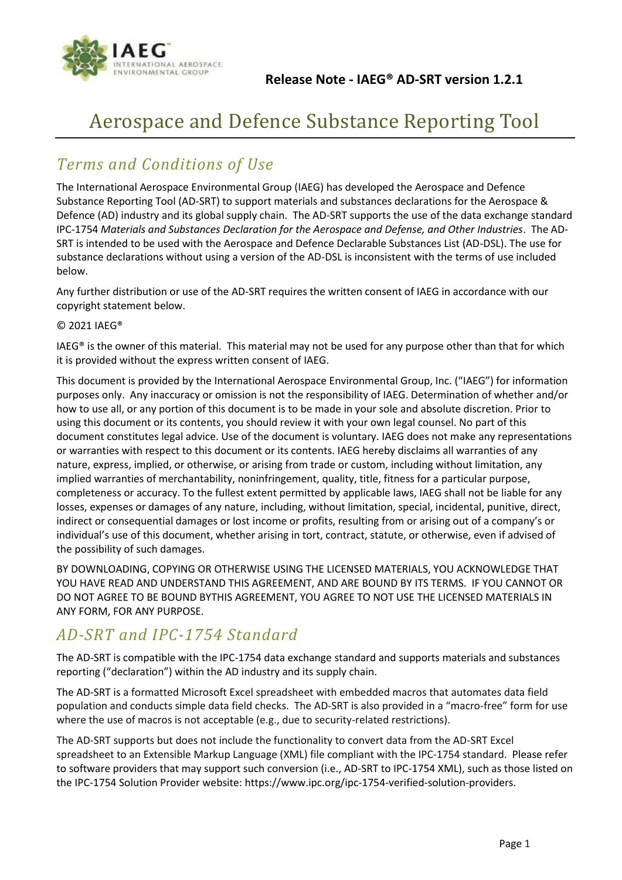

# Aerospace and Defence Substance Reporting Tool

#### *Terms and Conditions of Use*

The International Aerospace Environmental Group (IAEG) has developed the Aerospace and Defence Substance Reporting Tool (AD-SRT) to support materials and substances declarations for the Aerospace & Defence (AD) industry and its global supply chain. The AD-SRT supports the use of the data exchange standard IPC-1754 *Materials and Substances Declaration for the Aerospace and Defense, and Other Industries*. The AD-SRT is intended to be used with the Aerospace and Defence Declarable Substances List (AD-DSL). The use for substance declarations without using a version of the AD-DSL is inconsistent with the terms of use included below.

Any further distribution or use of the AD-SRT requires the written consent of IAEG in accordance with our copyright statement below.

#### © 2021 IAEG®

IAEG® is the owner of this material. This material may not be used for any purpose other than that for which it is provided without the express written consent of IAEG.

This document is provided by the International Aerospace Environmental Group, Inc. ("IAEG") for information purposes only. Any inaccuracy or omission is not the responsibility of IAEG. Determination of whether and/or how to use all, or any portion of this document is to be made in your sole and absolute discretion. Prior to using this document or its contents, you should review it with your own legal counsel. No part of this document constitutes legal advice. Use of the document is voluntary. IAEG does not make any representations or warranties with respect to this document or its contents. IAEG hereby disclaims all warranties of any nature, express, implied, or otherwise, or arising from trade or custom, including without limitation, any implied warranties of merchantability, noninfringement, quality, title, fitness for a particular purpose, completeness or accuracy. To the fullest extent permitted by applicable laws, IAEG shall not be liable for any losses, expenses or damages of any nature, including, without limitation, special, incidental, punitive, direct, indirect or consequential damages or lost income or profits, resulting from or arising out of a company's or individual's use of this document, whether arising in tort, contract, statute, or otherwise, even if advised of the possibility of such damages.

BY DOWNLOADING, COPYING OR OTHERWISE USING THE LICENSED MATERIALS, YOU ACKNOWLEDGE THAT YOU HAVE READ AND UNDERSTAND THIS AGREEMENT, AND ARE BOUND BY ITS TERMS. IF YOU CANNOT OR DO NOT AGREE TO BE BOUND BYTHIS AGREEMENT, YOU AGREE TO NOT USE THE LICENSED MATERIALS IN ANY FORM, FOR ANY PURPOSE.

#### *AD-SRT and IPC-1754 Standard*

The AD-SRT is compatible with the IPC-1754 data exchange standard and supports materials and substances reporting ("declaration") within the AD industry and its supply chain.

The AD-SRT is a formatted Microsoft Excel spreadsheet with embedded macros that automates data field population and conducts simple data field checks. The AD-SRT is also provided in a "macro-free" form for use where the use of macros is not acceptable (e.g., due to security-related restrictions).

The AD-SRT supports but does not include the functionality to convert data from the AD-SRT Excel spreadsheet to an Extensible Markup Language (XML) file compliant with the IPC-1754 standard. Please refer to software providers that may support such conversion (i.e., AD-SRT to IPC-1754 XML), such as those listed on the IPC-1754 Solution Provider website: https://www.ipc.org/ipc-1754-verified-solution-providers.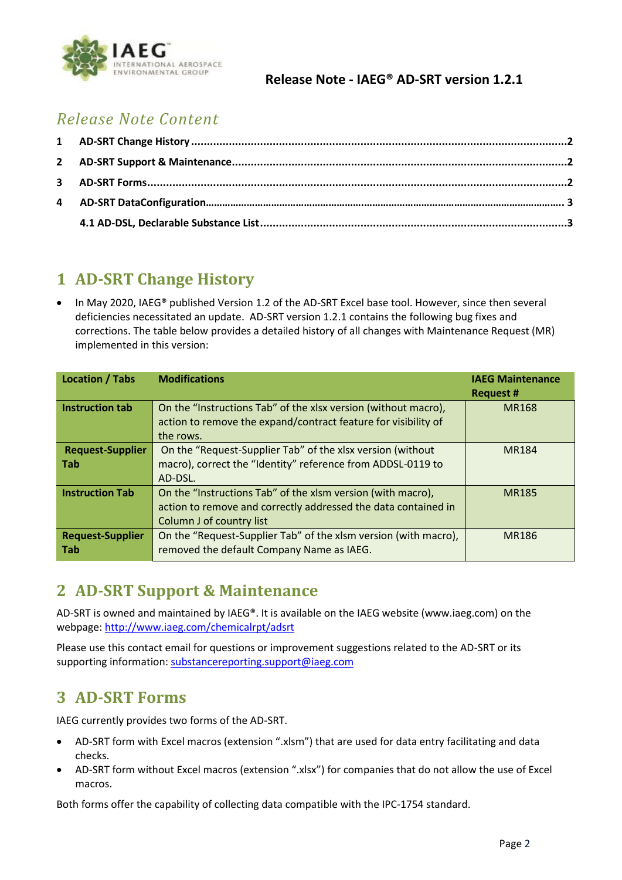

#### **Release Note - IAEG® AD-SRT version 1.2.1**

# *Release Note Content*

# <span id="page-1-0"></span>**1 AD-SRT Change History**

• In May 2020, IAEG® published Version 1.2 of the AD-SRT Excel base tool. However, since then several deficiencies necessitated an update. AD-SRT version 1.2.1 contains the following bug fixes and corrections. The table below provides a detailed history of all changes with Maintenance Request (MR) implemented in this version:

| <b>Location / Tabs</b>                | <b>Modifications</b>                                                                                                                                      | <b>IAEG Maintenance</b><br>Request # |
|---------------------------------------|-----------------------------------------------------------------------------------------------------------------------------------------------------------|--------------------------------------|
| <b>Instruction tab</b>                | On the "Instructions Tab" of the xlsx version (without macro),<br>action to remove the expand/contract feature for visibility of<br>the rows.             | <b>MR168</b>                         |
| <b>Request-Supplier</b><br><b>Tab</b> | On the "Request-Supplier Tab" of the xlsx version (without<br>macro), correct the "Identity" reference from ADDSL-0119 to<br>AD-DSL.                      | MR184                                |
| <b>Instruction Tab</b>                | On the "Instructions Tab" of the xlsm version (with macro),<br>action to remove and correctly addressed the data contained in<br>Column J of country list | <b>MR185</b>                         |
| <b>Request-Supplier</b><br><b>Tab</b> | On the "Request-Supplier Tab" of the xlsm version (with macro),<br>removed the default Company Name as IAEG.                                              | <b>MR186</b>                         |

# <span id="page-1-1"></span>**2 AD-SRT Support & Maintenance**

AD-SRT is owned and maintained by IAEG®. It is available on the IAEG website (www.iaeg.com) on the webpage: http://www.iaeg.com/chemicalrpt/adsrt

Please use this contact email for questions or improvement suggestions related to the AD-SRT or its supporting information: substancereporting.support@iaeg.com

# <span id="page-1-2"></span>**3 AD-SRT Forms**

IAEG currently provides two forms of the AD-SRT.

- AD-SRT form with Excel macros (extension ".xlsm") that are used for data entry facilitating and data checks.
- AD-SRT form without Excel macros (extension ".xlsx") for companies that do not allow the use of Excel macros.

Both forms offer the capability of collecting data compatible with the IPC-1754 standard.